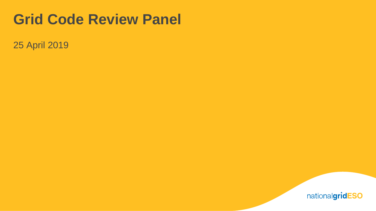## **Grid Code Review Panel**

25 April 2019

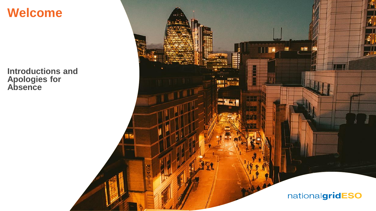**Welcome**

**Introductions and Apologies for Absence**

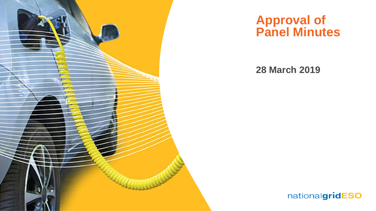

### **Approval of Panel Minutes**

#### **28 March 2019**

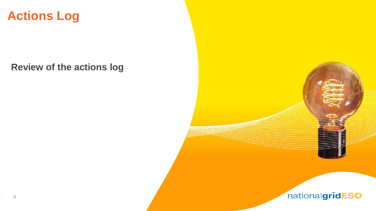

**Review of the actions log**



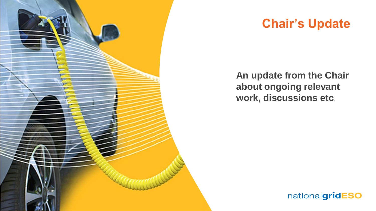

### **Chair's Update**

**An update from the Chair about ongoing relevant work, discussions etc***.*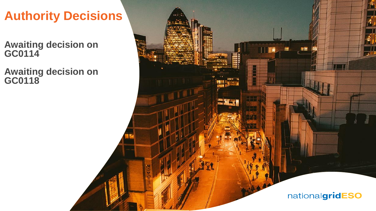## **Authority Decisions**

**Awaiting decision on GC0114**

**Awaiting decision on GC0118** 

nationalgridESO

11 圖景

白雪蘭

Ŧ

**SHET** 

橿

, e≅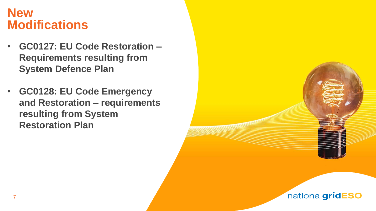### **New Modifications**

- **GC0127: EU Code Restoration – Requirements resulting from System Defence Plan**
- **GC0128: EU Code Emergency and Restoration – requirements resulting from System Restoration Plan**



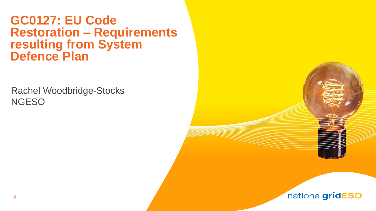### **GC0127: EU Code Restoration – Requirements resulting from System Defence Plan**

Rachel Woodbridge-Stocks **NGESO** 



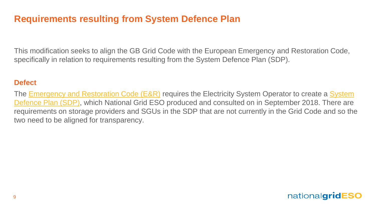### **Requirements resulting from System Defence Plan**

This modification seeks to align the GB Grid Code with the European Emergency and Restoration Code, specifically in relation to requirements resulting from the System Defence Plan (SDP).

#### **Defect**

The **Emergency and Restoration Code (E&R)** requires the Electricity System Operator to create a System [Defence Plan \(SDP\), which National Grid ESO produced and consulted on in September 2018. There are](https://www.nationalgrideso.com/codes/european-network-codes/meetings/emergency-and-restoration-consultation)  requirements on storage providers and SGUs in the SDP that are not currently in the Grid Code and so the two need to be aligned for transparency.

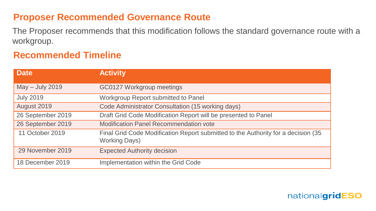#### **Proposer Recommended Governance Route**

The Proposer recommends that this modification follows the standard governance route with a workgroup.

#### **Recommended Timeline**

| <b>Date</b>       | <b>Activity</b>                                                                                           |
|-------------------|-----------------------------------------------------------------------------------------------------------|
| May - July 2019   | GC0127 Workgroup meetings                                                                                 |
| <b>July 2019</b>  | Workgroup Report submitted to Panel                                                                       |
| August 2019       | Code Administrator Consultation (15 working days)                                                         |
| 26 September 2019 | Draft Grid Code Modification Report will be presented to Panel                                            |
| 26 September 2019 | <b>Modification Panel Recommendation vote</b>                                                             |
| 11 October 2019   | Final Grid Code Modification Report submitted to the Authority for a decision (35<br><b>Working Days)</b> |
| 29 November 2019  | <b>Expected Authority decision</b>                                                                        |
| 18 December 2019  | Implementation within the Grid Code                                                                       |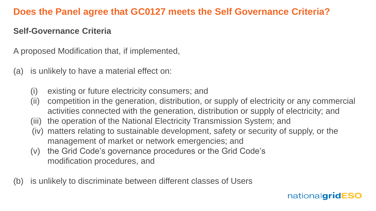#### **Does the Panel agree that GC0127 meets the Self Governance Criteria?**

#### **Self-Governance Criteria**

A proposed Modification that, if implemented,

- (a) is unlikely to have a material effect on:
	- (i) existing or future electricity consumers; and
	- (ii) competition in the generation, distribution, or supply of electricity or any commercial activities connected with the generation, distribution or supply of electricity; and
	- (iii) the operation of the National Electricity Transmission System; and
	- (iv) matters relating to sustainable development, safety or security of supply, or the management of market or network emergencies; and
	- (v) the Grid Code's governance procedures or the Grid Code's modification procedures, and
- (b) is unlikely to discriminate between different classes of Users

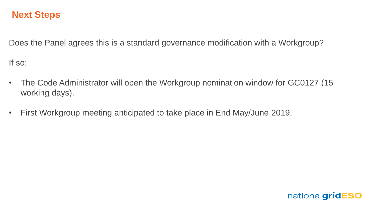#### **Next Steps**

Does the Panel agrees this is a standard governance modification with a Workgroup?

If so:

- The Code Administrator will open the Workgroup nomination window for GC0127 (15 working days).
- First Workgroup meeting anticipated to take place in End May/June 2019.

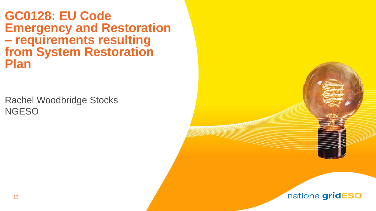**GC0128: EU Code Emergency and Restoration – requirements resulting from System Restoration Plan** 

Rachel Woodbridge Stocks **NGESO** 

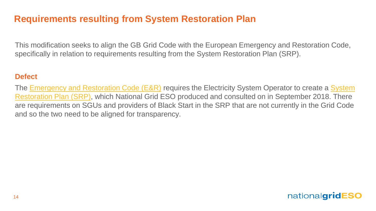### **Requirements resulting from System Restoration Plan**

This modification seeks to align the GB Grid Code with the European Emergency and Restoration Code, specifically in relation to requirements resulting from the System Restoration Plan (SRP).

#### **Defect**

The [Emergency and Restoration Code \(E&R\)](https://eur-lex.europa.eu/legal-content/EN/TXT/PDF/?uri=CELEX:32017R2196&from=EN) requires the Electricity System Operator to create a System [Restoration Plan \(SRP\), which National Grid ESO produced and consulted on in September 2018. There](https://www.nationalgrideso.com/codes/european-network-codes/meetings/emergency-and-restoration-consultation)  are requirements on SGUs and providers of Black Start in the SRP that are not currently in the Grid Code and so the two need to be aligned for transparency.

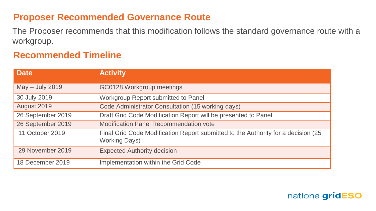#### **Proposer Recommended Governance Route**

The Proposer recommends that this modification follows the standard governance route with a workgroup.

#### **Recommended Timeline**

| <b>Date</b>       | <b>Activity</b>                                                                                           |
|-------------------|-----------------------------------------------------------------------------------------------------------|
| May - July 2019   | GC0128 Workgroup meetings                                                                                 |
| 30 July 2019      | Workgroup Report submitted to Panel                                                                       |
| August 2019       | Code Administrator Consultation (15 working days)                                                         |
| 26 September 2019 | Draft Grid Code Modification Report will be presented to Panel                                            |
| 26 September 2019 | <b>Modification Panel Recommendation vote</b>                                                             |
| 11 October 2019   | Final Grid Code Modification Report submitted to the Authority for a decision (25<br><b>Working Days)</b> |
| 29 November 2019  | <b>Expected Authority decision</b>                                                                        |
| 18 December 2019  | Implementation within the Grid Code                                                                       |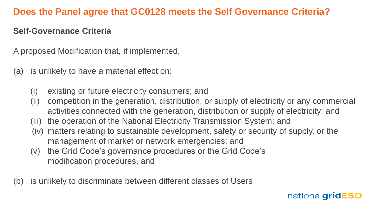#### **Does the Panel agree that GC0128 meets the Self Governance Criteria?**

#### **Self-Governance Criteria**

A proposed Modification that, if implemented,

- (a) is unlikely to have a material effect on:
	- (i) existing or future electricity consumers; and
	- (ii) competition in the generation, distribution, or supply of electricity or any commercial activities connected with the generation, distribution or supply of electricity; and
	- (iii) the operation of the National Electricity Transmission System; and
	- (iv) matters relating to sustainable development, safety or security of supply, or the management of market or network emergencies; and
	- (v) the Grid Code's governance procedures or the Grid Code's modification procedures, and
- (b) is unlikely to discriminate between different classes of Users

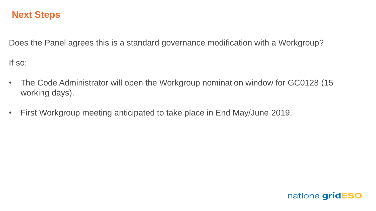#### **Next Steps**

Does the Panel agrees this is a standard governance modification with a Workgroup?

If so:

- The Code Administrator will open the Workgroup nomination window for GC0128 (15 working days).
- First Workgroup meeting anticipated to take place in End May/June 2019.

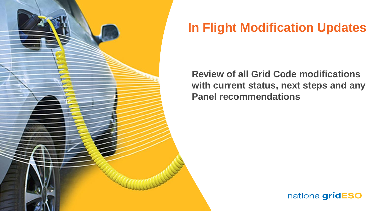

## **In Flight Modification Updates**

**Review of all Grid Code modifications with current status, next steps and any Panel recommendations**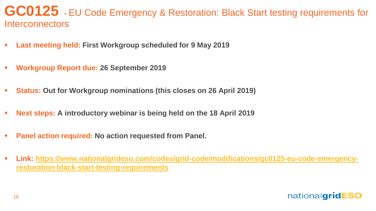### **GC0125 -** EU Code Emergency & Restoration: Black Start testing requirements for **Interconnectors**

- **Last meeting held: First Workgroup scheduled for 9 May 2019**
- **Workgroup Report due: 26 September 2019**
- **Status: Out for Workgroup nominations (this closes on 26 April 2019)**
- Next steps: A introductory webinar is being held on the 18 April 2019
- **Panel action required: No action requested from Panel.**
- **[Link: https://www.nationalgrideso.com/codes/grid-code/modifications/gc0125-eu-code-emergency](https://www.nationalgrideso.com/codes/grid-code/modifications/gc0125-eu-code-emergency-restoration-black-start-testing-requirements)restoration-black-start-testing-requirements**

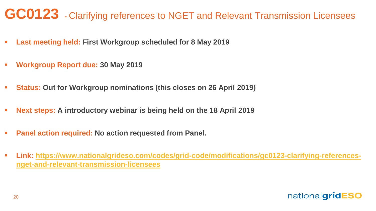## **GC0123 -** Clarifying references to NGET and Relevant Transmission Licensees

- **Last meeting held: First Workgroup scheduled for 8 May 2019**
- **Workgroup Report due: 30 May 2019**
- **Status: Out for Workgroup nominations (this closes on 26 April 2019)**
- **Next steps: A introductory webinar is being held on the 18 April 2019**
- **Panel action required: No action requested from Panel.**
- **[Link: https://www.nationalgrideso.com/codes/grid-code/modifications/gc0123-clarifying-references](https://www.nationalgrideso.com/codes/grid-code/modifications/gc0123-clarifying-references-nget-and-relevant-transmission-licensees)nget-and-relevant-transmission-licensees**

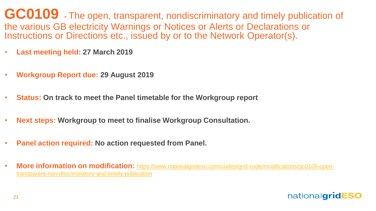**GC0109 -** The open, transparent, nondiscriminatory and timely publication of the various GB electricity Warnings or Notices or Alerts or Declarations or Instructions or Directions etc., issued by or to the Network Operator(s).

- **Last meeting held: 27 March 2019**
- **Workgroup Report due: 29 August 2019**
- **Status: On track to meet the Panel timetable for the Workgroup report**
- **Next steps: Workgroup to meet to finalise Workgroup Consultation.**
- **Panel action required: No action requested from Panel.**
- **More information on modification:** [https://www.nationalgrideso.com/codes/grid-code/modifications/gc0109-open](https://www.nationalgrideso.com/codes/grid-code/modifications/gc0109-open-transparent-non-discriminatory-and-timely-publication)transparent-non-discriminatory-and-timely-publication

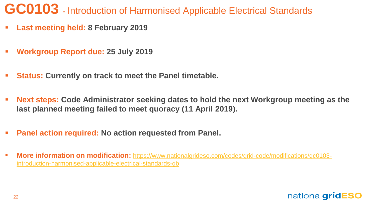## **GC0103 -** Introduction of Harmonised Applicable Electrical Standards

- **Last meeting held: 8 February 2019**
- **Workgroup Report due: 25 July 2019**
- **Status: Currently on track to meet the Panel timetable.**
- **Next steps: Code Administrator seeking dates to hold the next Workgroup meeting as the last planned meeting failed to meet quoracy (11 April 2019).**
- **Panel action required: No action requested from Panel.**
- **More information on modification:** [https://www.nationalgrideso.com/codes/grid-code/modifications/gc0103](https://www.nationalgrideso.com/codes/grid-code/modifications/gc0103-introduction-harmonised-applicable-electrical-standards-gb) introduction-harmonised-applicable-electrical-standards-gb

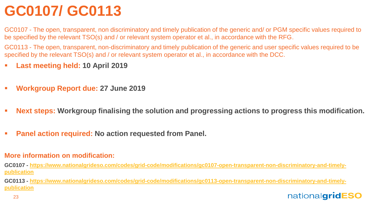# **GC0107/ GC0113**

GC0107 - The open, transparent, non discriminatory and timely publication of the generic and/ or PGM specific values required to be specified by the relevant TSO(s) and / or relevant system operator et al., in accordance with the RFG.

GC0113 - The open, transparent, non-discriminatory and timely publication of the generic and user specific values required to be specified by the relevant TSO(s) and / or relevant system operator et al., in accordance with the DCC.

- **Last meeting held: 10 April 2019**
- **Workgroup Report due: 27 June 2019**
- **Next steps: Workgroup finalising the solution and progressing actions to progress this modification.**
- **Panel action required: No action requested from Panel.**

#### **More information on modification:**

**GC0107 - [https://www.nationalgrideso.com/codes/grid-code/modifications/gc0107-open-transparent-non-discriminatory-and-timely](https://www.nationalgrideso.com/codes/grid-code/modifications/gc0107-open-transparent-non-discriminatory-and-timely-publication)publication**

**GC0113 - [https://www.nationalgrideso.com/codes/grid-code/modifications/gc0113-open-transparent-non-discriminatory-and-timely](https://www.nationalgrideso.com/codes/grid-code/modifications/gc0113-open-transparent-non-discriminatory-and-timely-publication)publication**

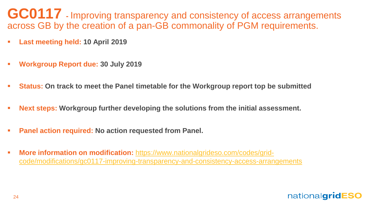GC0117 **-** Improving transparency and consistency of access arrangements across GB by the creation of a pan-GB commonality of PGM requirements.

- **Last meeting held: 10 April 2019**
- **Workgroup Report due: 30 July 2019**
- **Status: On track to meet the Panel timetable for the Workgroup report top be submitted**
- **EXECT:** Next steps: Workgroup further developing the solutions from the initial assessment.
- **Panel action required: No action requested from Panel.**
- **More information on modification:** https://www.nationalgrideso.com/codes/grid[code/modifications/gc0117-improving-transparency-and-consistency-access-arrangements](https://www.nationalgrideso.com/codes/grid-code/modifications/gc0117-improving-transparency-and-consistency-access-arrangements)

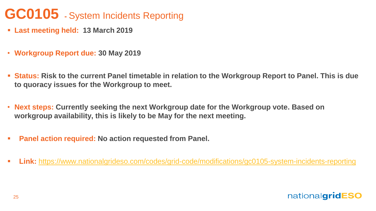## **GC0105 -** System Incidents Reporting

- **Last meeting held: 13 March 2019**
- **Workgroup Report due: 30 May 2019**
- **Status: Risk to the current Panel timetable in relation to the Workgroup Report to Panel. This is due to quoracy issues for the Workgroup to meet.**
- **Next steps: Currently seeking the next Workgroup date for the Workgroup vote. Based on workgroup availability, this is likely to be May for the next meeting.**
- **Panel action required: No action requested from Panel.**
- **Eink:** <https://www.nationalgrideso.com/codes/grid-code/modifications/gc0105-system-incidents-reporting>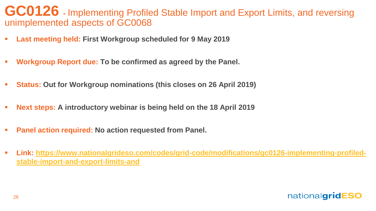### **GC0126 -** Implementing Profiled Stable Import and Export Limits, and reversing unimplemented aspects of GC0068

- **Last meeting held: First Workgroup scheduled for 9 May 2019**
- **Workgroup Report due: To be confirmed as agreed by the Panel.**
- **Status: Out for Workgroup nominations (this closes on 26 April 2019)**
- **Next steps: A introductory webinar is being held on the 18 April 2019**
- **Panel action required: No action requested from Panel.**
- **[Link: https://www.nationalgrideso.com/codes/grid-code/modifications/gc0126-implementing-profiled](https://www.nationalgrideso.com/codes/grid-code/modifications/gc0126-implementing-profiled-stable-import-and-export-limits-and)stable-import-and-export-limits-and**

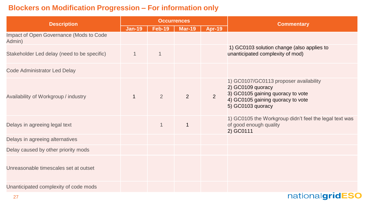#### **Blockers on Modification Progression – For information only**

| <b>Description</b>                                | <b>Occurrences</b> |                |               |                | <b>Commentary</b>                                                                                                                                          |  |
|---------------------------------------------------|--------------------|----------------|---------------|----------------|------------------------------------------------------------------------------------------------------------------------------------------------------------|--|
|                                                   | $Jan-19$           | <b>Feb-19</b>  | <b>Mar-19</b> | $Apr-19$       |                                                                                                                                                            |  |
| Impact of Open Governance (Mods to Code<br>Admin) |                    |                |               |                |                                                                                                                                                            |  |
| Stakeholder Led delay (need to be specific)       | $\mathbf{1}$       | $\overline{1}$ |               |                | 1) GC0103 solution change (also applies to<br>unanticipated complexity of mod)                                                                             |  |
| <b>Code Administrator Led Delay</b>               |                    |                |               |                |                                                                                                                                                            |  |
| Availability of Workgroup / industry              | $\mathbf{1}$       | $\overline{2}$ | 2             | $\overline{2}$ | 1) GC0107/GC0113 proposer availability<br>2) GC0109 quoracy<br>3) GC0105 gaining quoracy to vote<br>4) GC0105 gaining quoracy to vote<br>5) GC0103 quoracy |  |
| Delays in agreeing legal text                     |                    | $\mathbf{1}$   | $\mathbf{1}$  |                | 1) GC0105 the Workgroup didn't feel the legal text was<br>of good enough quality<br>2) GC0111                                                              |  |
| Delays in agreeing alternatives                   |                    |                |               |                |                                                                                                                                                            |  |
| Delay caused by other priority mods               |                    |                |               |                |                                                                                                                                                            |  |
| Unreasonable timescales set at outset             |                    |                |               |                |                                                                                                                                                            |  |
| Unanticipated complexity of code mods             |                    |                |               |                |                                                                                                                                                            |  |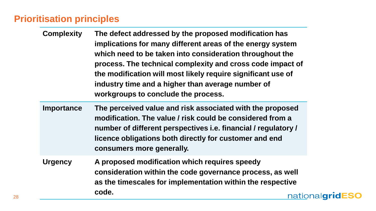### **Prioritisation principles**

- **Complexity The defect addressed by the proposed modification has implications for many different areas of the energy system which need to be taken into consideration throughout the process. The technical complexity and cross code impact of the modification will most likely require significant use of industry time and a higher than average number of workgroups to conclude the process.**
- **Importance The perceived value and risk associated with the proposed modification. The value / risk could be considered from a number of different perspectives i.e. financial / regulatory / licence obligations both directly for customer and end consumers more generally.**
- **Urgency A proposed modification which requires speedy consideration within the code governance process, as well as the timescales for implementation within the respective code.** nationalgridESO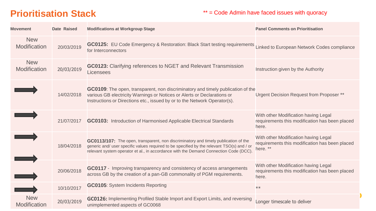### **Prioritisation Stack**

#### \*\* = Code Admin have faced issues with quoracy

| <b>Movement</b>            | Date Raised | <b>Modifications at Workgroup Stage</b>                                                                                                                                                                                                                                    | <b>Panel Comments on Prioritisation</b>                                                            |
|----------------------------|-------------|----------------------------------------------------------------------------------------------------------------------------------------------------------------------------------------------------------------------------------------------------------------------------|----------------------------------------------------------------------------------------------------|
| <b>New</b><br>Modification | 20/03/2019  | GC0125: EU Code Emergency & Restoration: Black Start testing requirements<br>for Interconnectors                                                                                                                                                                           | Linked to European Network Codes compliance                                                        |
| <b>New</b><br>Modification | 20/03/2019  | <b>GC0123:</b> Clarifying references to NGET and Relevant Transmission<br>Licensees                                                                                                                                                                                        | Instruction given by the Authority                                                                 |
|                            | 14/02/2018  | GC0109: The open, transparent, non discriminatory and timely publication of the<br>various GB electricity Warnings or Notices or Alerts or Declarations or<br>Instructions or Directions etc., issued by or to the Network Operator(s).                                    | Urgent Decision Request from Proposer **                                                           |
|                            | 21/07/2017  | GC0103: Introduction of Harmonised Applicable Electrical Standards                                                                                                                                                                                                         | With other Modification having Legal<br>requirements this modification has been placed<br>here.    |
|                            | 18/04/2018  | GC0113/107: The open, transparent, non discriminatory and timely publication of the<br>generic and/ user specific values required to be specified by the relevant TSO(s) and / or<br>relevant system operator et al., in accordance with the Demand Connection Code (DCC). | With other Modification having Legal<br>requirements this modification has been placed<br>here. ** |
|                            | 20/06/2018  | GC0117 - Improving transparency and consistency of access arrangements<br>across GB by the creation of a pan-GB commonality of PGM requirements.                                                                                                                           | With other Modification having Legal<br>requirements this modification has been placed<br>here.    |
|                            | 10/10/2017  | <b>GC0105:</b> System Incidents Reporting                                                                                                                                                                                                                                  | $**$                                                                                               |
| <b>New</b><br>Modification | 20/03/2019  | GC0126: Implementing Profiled Stable Import and Export Limits, and reversing<br>unimplemented aspects of GC0068                                                                                                                                                            | Longer timescale to deliver                                                                        |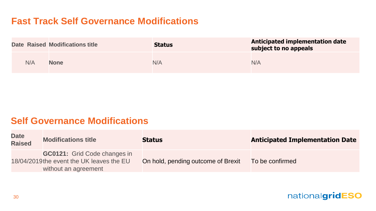### **Fast Track Self Governance Modifications**

|     | <b>Date Raised Modifications title</b> | <b>Status</b> | <b>Anticipated implementation date</b><br>subject to no appeals |
|-----|----------------------------------------|---------------|-----------------------------------------------------------------|
| N/A | <b>None</b>                            | N/A           | N/A                                                             |

#### **Self Governance Modifications**

| <b>Date</b><br><b>Raised</b> | <b>Modifications title</b>                                                                               | <b>Status</b>                      | <b>Anticipated Implementation Date</b> |
|------------------------------|----------------------------------------------------------------------------------------------------------|------------------------------------|----------------------------------------|
|                              | <b>GC0121:</b> Grid Code changes in<br>18/04/2019 the event the UK leaves the EU<br>without an agreement | On hold, pending outcome of Brexit | To be confirmed                        |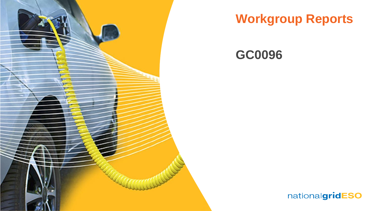

## **Workgroup Reports**

### **GC0096**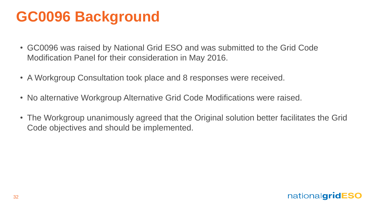# **GC0096 Background**

- GC0096 was raised by National Grid ESO and was submitted to the Grid Code Modification Panel for their consideration in May 2016.
- A Workgroup Consultation took place and 8 responses were received.
- No alternative Workgroup Alternative Grid Code Modifications were raised.
- The Workgroup unanimously agreed that the Original solution better facilitates the Grid Code objectives and should be implemented.

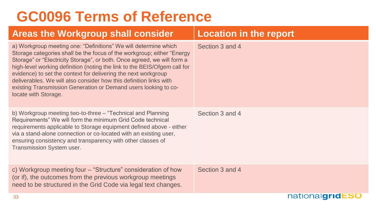# **GC0096 Terms of Reference**

| <b>Areas the Workgroup shall consider</b>                                                                                                                                                                                                                                                                                                                                                                                                                                                                                            | <b>Location in the report</b> |
|--------------------------------------------------------------------------------------------------------------------------------------------------------------------------------------------------------------------------------------------------------------------------------------------------------------------------------------------------------------------------------------------------------------------------------------------------------------------------------------------------------------------------------------|-------------------------------|
| a) Workgroup meeting one: "Definitions" We will determine which<br>Storage categories shall be the focus of the workgroup; either "Energy<br>Storage" or "Electricity Storage", or both. Once agreed, we will form a<br>high-level working definition (noting the link to the BEIS/Ofgem call for<br>evidence) to set the context for delivering the next workgroup<br>deliverables. We will also consider how this definition links with<br>existing Transmission Generation or Demand users looking to co-<br>locate with Storage. | Section 3 and 4               |
| b) Workgroup meeting two-to-three - "Technical and Planning<br>Requirements" We will form the minimum Grid Code technical<br>requirements applicable to Storage equipment defined above - either<br>via a stand-alone connection or co-located with an existing user,<br>ensuring consistency and transparency with other classes of<br>Transmission System user.                                                                                                                                                                    | Section 3 and 4               |
| c) Workgroup meeting four – "Structure" consideration of how<br>(or if), the outcomes from the previous workgroup meetings<br>need to be structured in the Grid Code via legal text changes.                                                                                                                                                                                                                                                                                                                                         | Section 3 and 4               |
| 33                                                                                                                                                                                                                                                                                                                                                                                                                                                                                                                                   | nationalgridESO               |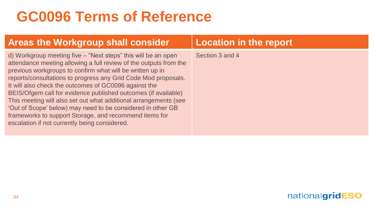# **GC0096 Terms of Reference**

| <b>Areas the Workgroup shall consider</b>                                                                                                                                                                                                                                                                                                                                                                                                                                                                                                                                                                                                  | <b>Location in the report</b> |
|--------------------------------------------------------------------------------------------------------------------------------------------------------------------------------------------------------------------------------------------------------------------------------------------------------------------------------------------------------------------------------------------------------------------------------------------------------------------------------------------------------------------------------------------------------------------------------------------------------------------------------------------|-------------------------------|
| d) Workgroup meeting five – "Next steps" this will be an open<br>attendance meeting allowing a full review of the outputs from the<br>previous workgroups to confirm what will be written up in<br>reports/consultations to progress any Grid Code Mod proposals.<br>It will also check the outcomes of GC0096 against the<br>BEIS/Ofgem call for evidence published outcomes (if available)<br>This meeting will also set out what additional arrangements (see<br>'Out of Scope' below) may need to be considered in other GB<br>frameworks to support Storage, and recommend items for<br>escalation if not currently being considered. | Section 3 and 4               |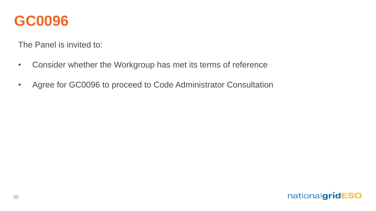

The Panel is invited to:

- Consider whether the Workgroup has met its terms of reference
- Agree for GC0096 to proceed to Code Administrator Consultation

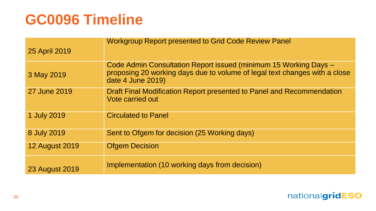# **GC0096 Timeline**

| 25 April 2019         | <b>Workgroup Report presented to Grid Code Review Panel</b>                                                                                                         |
|-----------------------|---------------------------------------------------------------------------------------------------------------------------------------------------------------------|
| 3 May 2019            | Code Admin Consultation Report issued (minimum 15 Working Days -<br>proposing 20 working days due to volume of legal text changes with a close<br>date 4 June 2019) |
| 27 June 2019          | Draft Final Modification Report presented to Panel and Recommendation<br>Vote carried out                                                                           |
| 1 July 2019           | <b>Circulated to Panel</b>                                                                                                                                          |
| 8 July 2019           | Sent to Ofgem for decision (25 Working days)                                                                                                                        |
| <b>12 August 2019</b> | <b>Ofgem Decision</b>                                                                                                                                               |
| <b>23 August 2019</b> | Implementation (10 working days from decision)                                                                                                                      |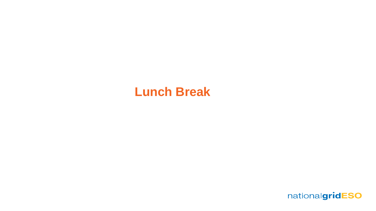### **Lunch Break**

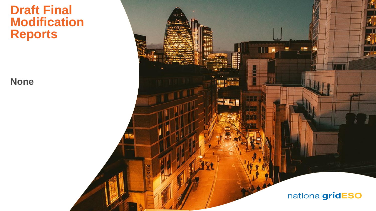### **Draft Final Modification Reports**

**None**

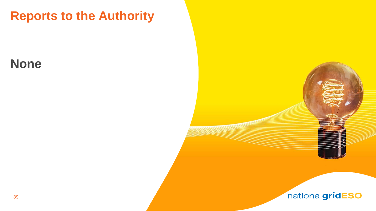## **Reports to the Authority**

### **None**

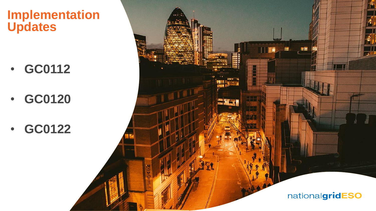### **Implementation Updates**

- **GC0112**
- **GC0120**
- **GC0122**

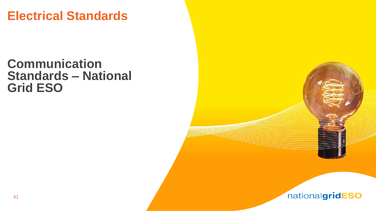### **Electrical Standards**

### **Communication Standards – National Grid ESO**



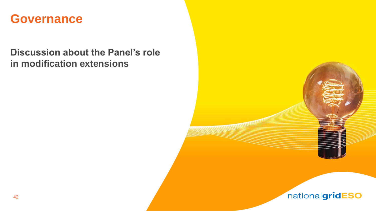### **Governance**

### **Discussion about the Panel's role in modification extensions**

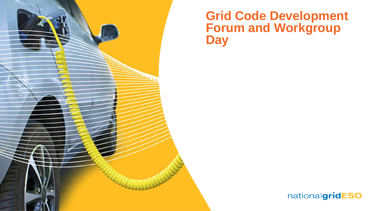

### **Grid Code Development Forum and Workgroup Day**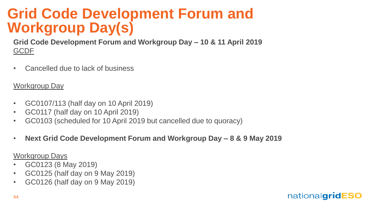## **Grid Code Development Forum and Workgroup Day(s)**

**Grid Code Development Forum and Workgroup Day – 10 & 11 April 2019** GCDF

• Cancelled due to lack of business

#### Workgroup Day

- GC0107/113 (half day on 10 April 2019)
- GC0117 (half day on 10 April 2019)
- GC0103 (scheduled for 10 April 2019 but cancelled due to quoracy)
- **Next Grid Code Development Forum and Workgroup Day – 8 & 9 May 2019**

Workgroup Days

- GC0123 (8 May 2019)
- GC0125 (half day on 9 May 2019)
- GC0126 (half day on 9 May 2019)

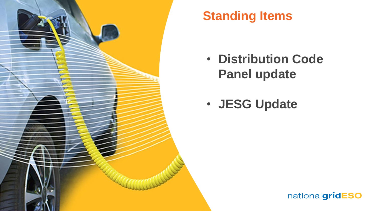

## **Standing Items**

- **Distribution Code Panel update**
- **JESG Update**

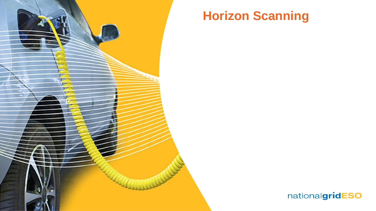

## **Horizon Scanning**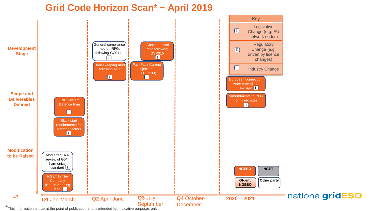#### **Grid Code Horizon Scan\* ~ April 2019**



\*This information is true at the point of publication and is intended for indicative purposes only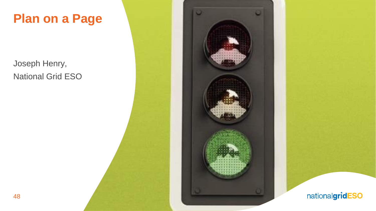

Joseph Henry, National Grid ESO

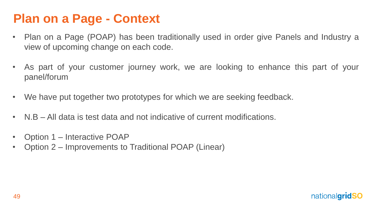## **Plan on a Page - Context**

- Plan on a Page (POAP) has been traditionally used in order give Panels and Industry a view of upcoming change on each code.
- As part of your customer journey work, we are looking to enhance this part of your panel/forum
- We have put together two prototypes for which we are seeking feedback.
- N.B All data is test data and not indicative of current modifications.
- Option 1 Interactive POAP
- Option 2 Improvements to Traditional POAP (Linear)

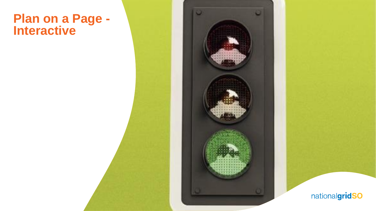### **Plan on a Page - Interactive**

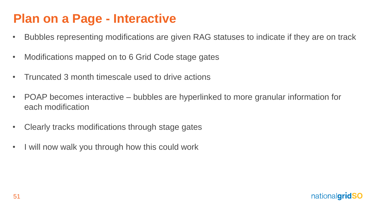## **Plan on a Page - Interactive**

- Bubbles representing modifications are given RAG statuses to indicate if they are on track
- Modifications mapped on to 6 Grid Code stage gates
- Truncated 3 month timescale used to drive actions
- POAP becomes interactive bubbles are hyperlinked to more granular information for each modification
- Clearly tracks modifications through stage gates
- I will now walk you through how this could work

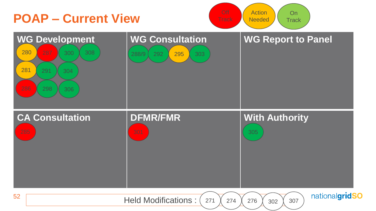<span id="page-51-0"></span>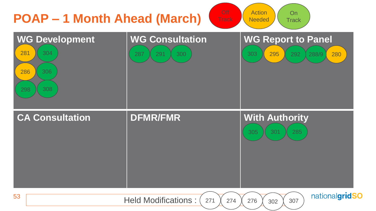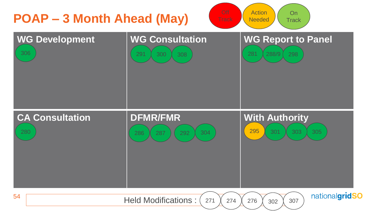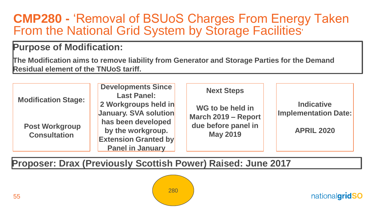### <span id="page-54-0"></span>**CMP280 -** 'Removal of BSUoS Charges From Energy Taken From the National Grid System by Storage Facilities'

#### **Purpose of Modification:**

**The Modification aims to remove liability from Generator and Storage Parties for the Demand Residual element of the TNUoS tariff.**

|                                                     | <b>Developments Since</b><br><b>Last Panel:</b>                             | <b>Next Steps</b>                                              |                                                  |
|-----------------------------------------------------|-----------------------------------------------------------------------------|----------------------------------------------------------------|--------------------------------------------------|
| <b>Modification Stage:</b><br><b>Post Workgroup</b> | 2 Workgroups held in<br>January. SVA solution<br>has been developed         | WG to be held in<br>March 2019 - Report<br>due before panel in | <b>Indicative</b><br><b>Implementation Date:</b> |
| <b>Consultation</b>                                 | by the workgroup.<br><b>Extension Granted by</b><br><b>Panel in January</b> | <b>May 2019</b>                                                | <b>APRIL 2020</b>                                |

**Proposer: Drax (Previously Scottish Power) Raised: June 2017** 

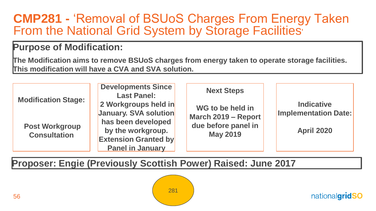### <span id="page-55-0"></span>**CMP281 -** 'Removal of BSUoS Charges From Energy Taken From the National Grid System by Storage Facilities'

#### **Purpose of Modification:**

**The Modification aims to remove BSUoS charges from energy taken to operate storage facilities. This modification will have a CVA and SVA solution.**

|                                              | <b>Developments Since</b><br><b>Last Panel:</b>                                                   | <b>Next Steps</b>                       |                                                  |
|----------------------------------------------|---------------------------------------------------------------------------------------------------|-----------------------------------------|--------------------------------------------------|
| <b>Modification Stage:</b>                   | 2 Workgroups held in<br>January. SVA solution                                                     | WG to be held in<br>March 2019 - Report | <b>Indicative</b><br><b>Implementation Date:</b> |
| <b>Post Workgroup</b><br><b>Consultation</b> | has been developed<br>by the workgroup.<br><b>Extension Granted by</b><br><b>Panel in January</b> | due before panel in<br><b>May 2019</b>  | <b>April 2020</b>                                |

**Proposer: Engie (Previously Scottish Power) Raised: June 2017** 

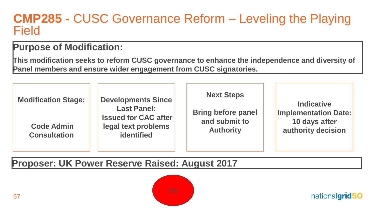### <span id="page-56-0"></span>**CMP285 -** CUSC Governance Reform – Leveling the Playing Field

### **Purpose of Modification:**

**This modification seeks to reform CUSC governance to enhance the independence and diversity of Panel members and ensure wider engagement from CUSC signatories.**

| <b>Modification Stage:</b><br><b>Code Admin</b><br><b>Consultation</b> | <b>Developments Since</b><br><b>Last Panel:</b><br><b>Issued for CAC after</b><br>legal text problems<br><b>identified</b> | <b>Next Steps</b><br><b>Bring before panel</b><br>and submit to<br><b>Authority</b> | <b>Indicative</b><br><b>Implementation Date:</b><br>10 days after<br>authority decision |
|------------------------------------------------------------------------|----------------------------------------------------------------------------------------------------------------------------|-------------------------------------------------------------------------------------|-----------------------------------------------------------------------------------------|
|------------------------------------------------------------------------|----------------------------------------------------------------------------------------------------------------------------|-------------------------------------------------------------------------------------|-----------------------------------------------------------------------------------------|

#### **Proposer: UK Power Reserve Raised: August 2017**

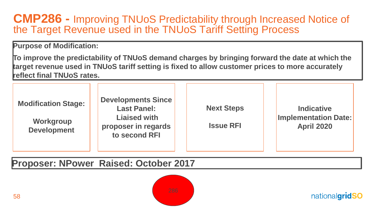### <span id="page-57-0"></span>**CMP286 -** Improving TNUoS Predictability through Increased Notice of the Target Revenue used in the TNUoS Tariff Setting Process

**Purpose of Modification:** 

**To improve the predictability of TNUoS demand charges by bringing forward the date at which the target revenue used in TNUoS tariff setting is fixed to allow customer prices to more accurately reflect final TNUoS rates.**

| <b>Developments Since</b><br><b>Modification Stage:</b><br><b>Last Panel:</b><br><b>Liaised with</b><br>Workgroup<br>proposer in regards<br><b>Development</b><br>to second RFI | <b>Next Steps</b><br><b>Issue RFI</b> | <b>Indicative</b><br><b>Implementation Date:</b><br><b>April 2020</b> |
|---------------------------------------------------------------------------------------------------------------------------------------------------------------------------------|---------------------------------------|-----------------------------------------------------------------------|
|---------------------------------------------------------------------------------------------------------------------------------------------------------------------------------|---------------------------------------|-----------------------------------------------------------------------|

**Proposer: NPower Raised: October 2017** 

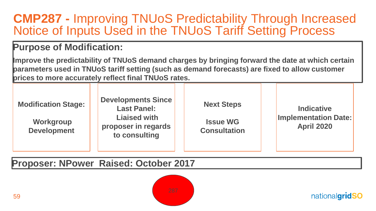### <span id="page-58-0"></span>**CMP287 -** Improving TNUoS Predictability Through Increased Notice of Inputs Used in the TNUoS Tariff Setting Process

#### **Purpose of Modification:**

**Improve the predictability of TNUoS demand charges by bringing forward the date at which certain parameters used in TNUoS tariff setting (such as demand forecasts) are fixed to allow customer prices to more accurately reflect final TNUoS rates.**

| <b>Modification Stage:</b><br>Workgroup<br><b>Development</b> | <b>Developments Since</b><br><b>Last Panel:</b><br><b>Liaised with</b><br>proposer in regards<br>to consulting | <b>Next Steps</b><br><b>Issue WG</b><br><b>Consultation</b> | <b>Indicative</b><br><b>Implementation Date:</b><br><b>April 2020</b> |
|---------------------------------------------------------------|----------------------------------------------------------------------------------------------------------------|-------------------------------------------------------------|-----------------------------------------------------------------------|
|                                                               |                                                                                                                |                                                             |                                                                       |

**Proposer: NPower Raised: October 2017** 

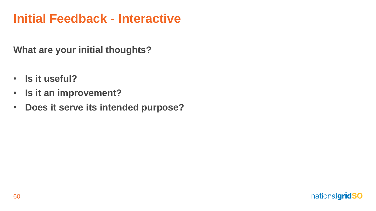## **Initial Feedback - Interactive**

**What are your initial thoughts?**

- **Is it useful?**
- **Is it an improvement?**
- **Does it serve its intended purpose?**

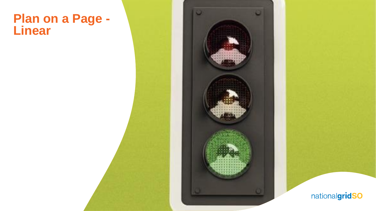### **Plan on a Page - Linear**

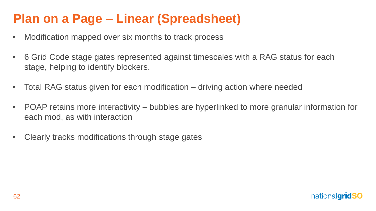## **Plan on a Page – Linear (Spreadsheet)**

- Modification mapped over six months to track process
- 6 Grid Code stage gates represented against timescales with a RAG status for each stage, helping to identify blockers.
- Total RAG status given for each modification driving action where needed
- POAP retains more interactivity bubbles are hyperlinked to more granular information for each mod, as with interaction
- Clearly tracks modifications through stage gates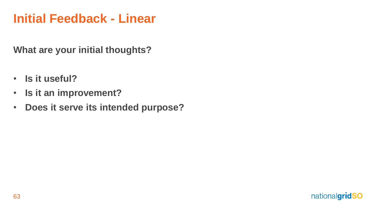## **Initial Feedback - Linear**

**What are your initial thoughts?**

- **Is it useful?**
- **Is it an improvement?**
- **Does it serve its intended purpose?**

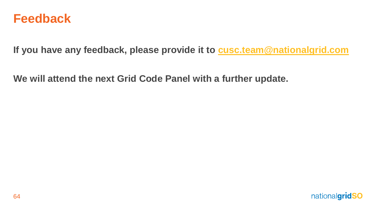

**If you have any feedback, please provide it to [cusc.team@nationalgrid.com](mailto:cusc.team@nationalgrid.com)**

**We will attend the next Grid Code Panel with a further update.** 

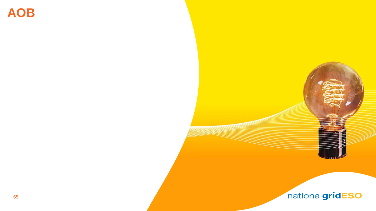**AOB**

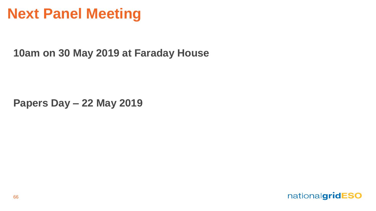## **Next Panel Meeting**

**10am on 30 May 2019 at Faraday House** 

**Papers Day – 22 May 2019**